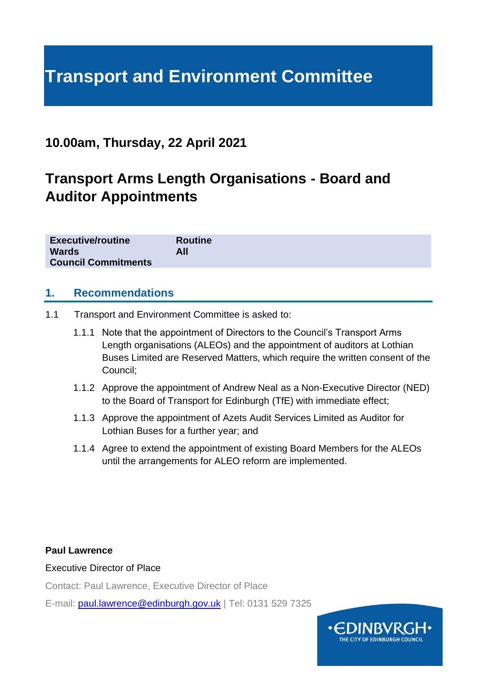# **Transport and Environment Committee**

# **10.00am, Thursday, 22 April 2021**

# **Transport Arms Length Organisations - Board and Auditor Appointments**

| <b>Executive/routine</b>   | <b>Routine</b> |
|----------------------------|----------------|
| <b>Wards</b>               | All            |
| <b>Council Commitments</b> |                |

#### **1. Recommendations**

- 1.1 Transport and Environment Committee is asked to:
	- 1.1.1 Note that the appointment of Directors to the Council's Transport Arms Length organisations (ALEOs) and the appointment of auditors at Lothian Buses Limited are Reserved Matters, which require the written consent of the Council;
	- 1.1.2 Approve the appointment of Andrew Neal as a Non-Executive Director (NED) to the Board of Transport for Edinburgh (TfE) with immediate effect;
	- 1.1.3 Approve the appointment of Azets Audit Services Limited as Auditor for Lothian Buses for a further year; and
	- 1.1.4 Agree to extend the appointment of existing Board Members for the ALEOs until the arrangements for ALEO reform are implemented.

#### **Paul Lawrence**

#### Executive Director of Place

Contact: Paul Lawrence, Executive Director of Place

E-mail: [paul.lawrence@edinburgh.gov.uk](mailto:paul.lawrence@edinburgh.gov.uk) | Tel: 0131 529 7325

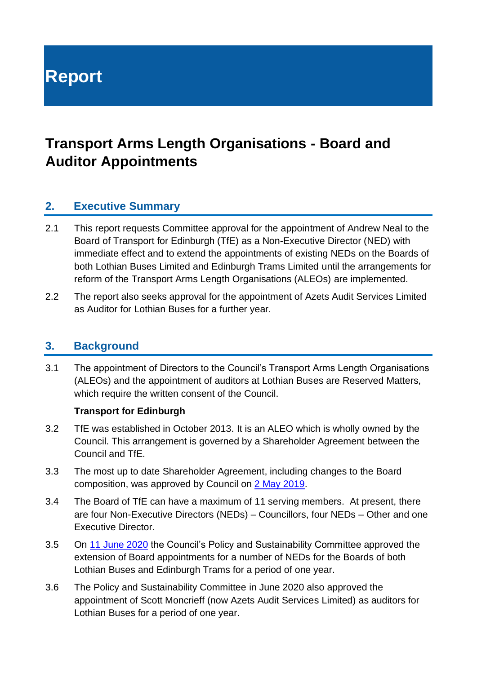# **Report**

# **Transport Arms Length Organisations - Board and Auditor Appointments**

# **2. Executive Summary**

- 2.1 This report requests Committee approval for the appointment of Andrew Neal to the Board of Transport for Edinburgh (TfE) as a Non-Executive Director (NED) with immediate effect and to extend the appointments of existing NEDs on the Boards of both Lothian Buses Limited and Edinburgh Trams Limited until the arrangements for reform of the Transport Arms Length Organisations (ALEOs) are implemented.
- 2.2 The report also seeks approval for the appointment of Azets Audit Services Limited as Auditor for Lothian Buses for a further year.

#### **3. Background**

3.1 The appointment of Directors to the Council's Transport Arms Length Organisations (ALEOs) and the appointment of auditors at Lothian Buses are Reserved Matters, which require the written consent of the Council.

#### **Transport for Edinburgh**

- 3.2 TfE was established in October 2013. It is an ALEO which is wholly owned by the Council. This arrangement is governed by a Shareholder Agreement between the Council and TfE.
- 3.3 The most up to date Shareholder Agreement, including changes to the Board composition, was approved by Council on [2 May 2019.](https://democracy.edinburgh.gov.uk/Data/City%20of%20Edinburgh%20Council/20190502/Agenda/item_73_-_amendment_of_transport_for_edinburgh_shareholder_)
- 3.4 The Board of TfE can have a maximum of 11 serving members. At present, there are four Non-Executive Directors (NEDs) – Councillors, four NEDs – Other and one Executive Director.
- 3.5 On [11 June 2020](https://democracy.edinburgh.gov.uk/documents/s24417/6.8%20-%20Transport%20ALEO%20Appointments%20FINALv2.pdf) the Council's Policy and Sustainability Committee approved the extension of Board appointments for a number of NEDs for the Boards of both Lothian Buses and Edinburgh Trams for a period of one year.
- 3.6 The Policy and Sustainability Committee in June 2020 also approved the appointment of Scott Moncrieff (now Azets Audit Services Limited) as auditors for Lothian Buses for a period of one year.